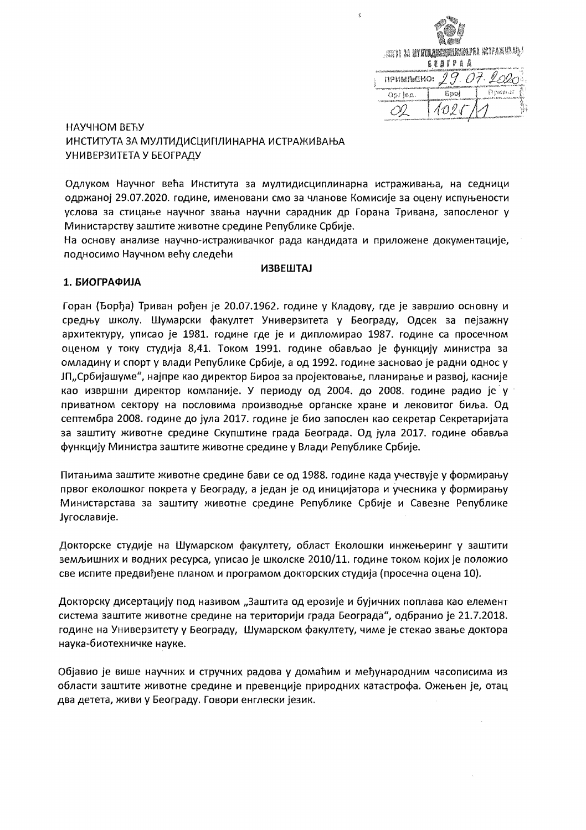|           | <b>ARTI 34 STON ANGELIAREN KOPAKSEL</b><br><b>BEATPAA</b> |        |  |  |  |
|-----------|-----------------------------------------------------------|--------|--|--|--|
| примлыно: |                                                           |        |  |  |  |
| Орг  ед.  | ដែល                                                       | Армиот |  |  |  |
|           |                                                           |        |  |  |  |

 $\epsilon$ 

## НАУЧНОМ ВЕЋУ ИНСТИТУТА ЗА МУЛТИДИСЦИПЛИНАРНА ИСТРАЖИВАЊА УНИВЕРЗИТЕТА У БЕОГРАДУ

Одлуком Научног већа Института за мултидисциплинарна истраживања, на седници одржаној 29.07.2020. године, именовани смо за чланове Комисије за оцену испуњености услова за стицање научног звања научни сарадник др Горана Тривана, запосленог у Министарству заштите животне средине Републике Србије.

На основу анализе научно-истраживачког рада кандидата и приложене документације, подносимо Научном већу следећи

#### **ИЗВЕШТАЈ**

## 1. БИОГРАФИЈА

Горан (Ђорђа) Триван рођен је 20.07.1962. године у Кладову, где је завршио основну и средњу школу. Шумарски факултет Универзитета у Београду, Одсек за пејзажну архитектуру, уписао је 1981. године где је и дипломирао 1987. године са просечном оценом у току студија 8,41. Током 1991. године обављао је функцију министра за омладину и спорт у влади Републике Србије, а од 1992. године засновао је радни однос у ЈП"Србијашуме", најпре као директор Бироа за пројектовање, планирање и развој, касније као извршни директор компаније. У периоду од 2004. до 2008. године радио је у приватном сектору на пословима производње органске хране и лековитог биља. Од септембра 2008. године до јула 2017. године је био запослен као секретар Секретаријата за заштиту животне средине Скупштине града Београда. Од јула 2017. године обавља функцију Министра заштите животне средине у Влади Републике Србије.

Питањима заштите животне средине бави се од 1988. године када учествује у формирању првог еколошког покрета у Београду, а један је од иницијатора и учесника у формирању Министарстава за заштиту животне средине Републике Србије и Савезне Републике Југославије.

Докторске студије на Шумарском факултету, област Еколошки инжењеринг у заштити земљишних и водних ресурса, уписао је школске 2010/11. године током којих је положио све испите предвиђене планом и програмом докторских студија (просечна оцена 10).

Докторску дисертацију под називом "Заштита од ерозије и бујичних поплава као елемент система заштите животне средине на територији града Београда", одбранио је 21.7.2018. године на Универзитету у Београду, Шумарском факултету, чиме је стекао звање доктора наука-биотехничке науке.

Објавио је више научних и стручних радова у домаћим и међународним часописима из области заштите животне средине и превенције природних катастрофа. Ожењен је, отац два детета, живи у Београду. Говори енглески језик.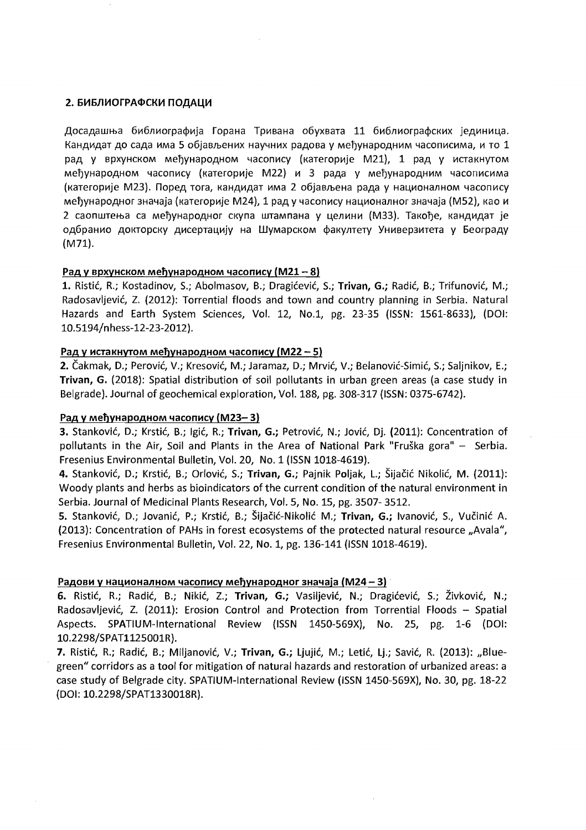#### 2. БИБЛИОГРАФСКИ ПОДАЦИ

Досадашња библиографија Горана Тривана обухвата 11 библиографских јединица. Кандидат до сада има 5 објављених научних радова у међународним часописима, и то 1 рад у врхунском међународном часопису (категорије М21), 1 рад у истакнутом међународном часопису (категорије M22) и 3 рада у међународним часописима (категорије М23). Поред тога, кандидат има 2 објављена рада у националном часопису међународног значаја (категорије М24), 1 рад у часопису националног значаја (М52), као и 2 саопштења са међународног скупа штампана у целини (МЗЗ). Такође, кандидат је одбранио докторску дисертацију на Шумарском факултету Универзитета у Београду  $(M71)$ .

### Рад у врхунском међународном часопису (M21 - 8)

1. Ristić, R.; Kostadinov, S.; Abolmasov, B.; Dragićević, S.; Trivan, G.; Radić, B.; Trifunović, M.; Radosavljević, Z. (2012): Torrential floods and town and country planning in Serbia. Natural Hazards and Earth System Sciences, Vol. 12, No.1, pg. 23-35 (ISSN: 1561-8633), (DOI: 10.5194/nhess-12-23-2012).

### <u>Рад у истакнутом међународном часопису (М22 - 5)</u>

2. Čakmak, D.; Perović, V.; Kresović, M.; Jaramaz, D.; Mrvić, V.; Belanović-Simić, S.; Saljnikov, E.; Trivan, G. (2018): Spatial distribution of soil pollutants in urban green areas (a case study in Belgrade). Journal of geochemical exploration, Vol. 188, pg. 308-317 (ISSN: 0375-6742).

#### Рад у међународном часопису (М23-3)

3. Stanković, D.; Krstić, B.; Igić, R.; Trivan, G.; Petrović, N.; Jović, Dj. (2011): Concentration of pollutants in the Air, Soil and Plants in the Area of National Park "Fruška gora" - Serbia. Fresenius Environmental Bulletin, Vol. 20, No. 1 (ISSN 1018-4619).

4. Stanković, D.; Krstić, B.; Orlović, S.; Trivan, G.; Pajnik Poljak, L.; Šijačić Nikolić, M. (2011): Woody plants and herbs as bioindicators of the current condition of the natural environment in Serbia. Journal of Medicinal Plants Research, Vol. 5, No. 15, pg. 3507-3512.

5. Stanković, D.; Jovanić, P.; Krstić, B.; Šijačić-Nikolić M.; Trivan, G.; Ivanović, S., Vučinić A. (2013): Concentration of PAHs in forest ecosystems of the protected natural resource "Avala", Fresenius Environmental Bulletin, Vol. 22, No. 1, pg. 136-141 (ISSN 1018-4619).

#### Радови у националном часопису међународног значаја (М24 – 3)

6. Ristić, R.; Radić, B.; Nikić, Z.; Trivan, G.; Vasiljević, N.; Dragićević, S.; Živković, N.; Radosavljević, Z. (2011): Erosion Control and Protection from Torrential Floods - Spatial Aspects. SPATIUM-International Review (ISSN 1450-569X), No. 25, pg. 1-6 (DOI: 10.2298/SPAT1125001R).

7. Ristić, R.; Radić, B.; Miljanović, V.; Trivan, G.; Ljujić, M.; Letić, Lj.; Savić, R. (2013): "Bluegreen" corridors as a tool for mitigation of natural hazards and restoration of urbanized areas: a case study of Belgrade city. SPATIUM-International Review (ISSN 1450-569X), No. 30, pg. 18-22 (DOI: 10.2298/SPAT1330018R).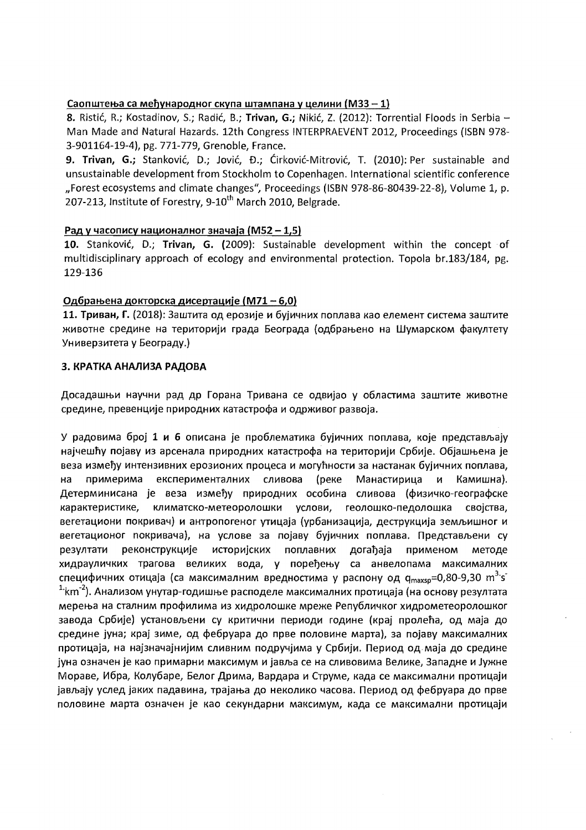## Саопштења са међународног скупа штампана у целини (М33 - 1)

8. Ristić, R.; Kostadinov, S.; Radić, B.; Trivan, G.; Nikić, Z. (2012): Torrential Floods in Serbia -Man Made and Natural Hazards. 12th Congress INTERPRAEVENT 2012, Proceedings (ISBN 978-3-901164-19-4), pg. 771-779, Grenoble, France.

9. Trivan, G.; Stanković, D.; Jović, Đ.; Ćirković-Mitrović, T. (2010): Per sustainable and unsustainable development from Stockholm to Copenhagen. International scientific conference "Forest ecosystems and climate changes", Proceedings (ISBN 978-86-80439-22-8), Volume 1, p. 207-213, Institute of Forestry, 9-10<sup>th</sup> March 2010, Belgrade.

### Рад у часопису националног значаја (M52 - 1,5)

10. Stanković, D.; Trivan, G. (2009): Sustainable development within the concept of multidisciplinary approach of ecology and environmental protection. Topola br.183/184, pg. 129-136

### Одбрањена докторска дисертације (М71 - 6,0)

11. Триван, Г. (2018): Заштита од ерозије и бујичних поплава као елемент система заштите животне средине на територији града Београда (одбрањено на Шумарском факултету Универзитета у Београду.)

### 3. КРАТКА АНАЛИЗА РАДОВА

Досадашњи научни рад др Горана Тривана се одвијао у областима заштите животне средине, превенције природних катастрофа и одрживог развоја.

У радовима број 1 и 6 описана је проблематика бујичних поплава, које представљају најчешћу појаву из арсенала природних катастрофа на територији Србије. Објашњена је веза између интензивних ерозионих процеса и могућности за настанак бујичних поплава, на примерима експерименталних сливова (реке Манастирица и Камишна). Детерминисана је веза између природних особина сливова (физичко-географске карактеристике, климатско-метеоролошки услови, геолошко-педолошка својства, вегетациони покривач) и антропогеног утицаја (урбанизација, деструкција земљишног и вегетационог покривача), на услове за појаву бујичних поплава. Представљени су реконструкције историјских поплавних догађаја применом резултати методе хидрауличких трагова великих вода, у поређењу са анвелопама максималних специфичних отицаја (са максималним вредностима у распону од q<sub>maxsp</sub>=0,80-9,30 m<sup>3</sup>·s<sup>-</sup>  $1\cdot$ km<sup>-2</sup>). Анализом унутар-годишње расподеле максималних протицаја (на основу резултата мерења на сталним профилима из хидролошке мреже Републичког хидрометеоролошког завода Србије) установљени су критични периоди године (крај пролећа, од маја до средине јуна; крај зиме, од фебруара до прве половине марта), за појаву максималних протицаја, на најзначајнијим сливним подручјима у Србији. Период од маја до средине јуна означен је као примарни максимум и јавља се на сливовима Велике, Западне и Јужне Мораве, Ибра, Колубаре, Белог Дрима, Вардара и Струме, када се максимални протицаји јављају услед јаких падавина, трајања до неколико часова. Период од фебруара до прве половине марта означен је као секундарни максимум, када се максимални протицаји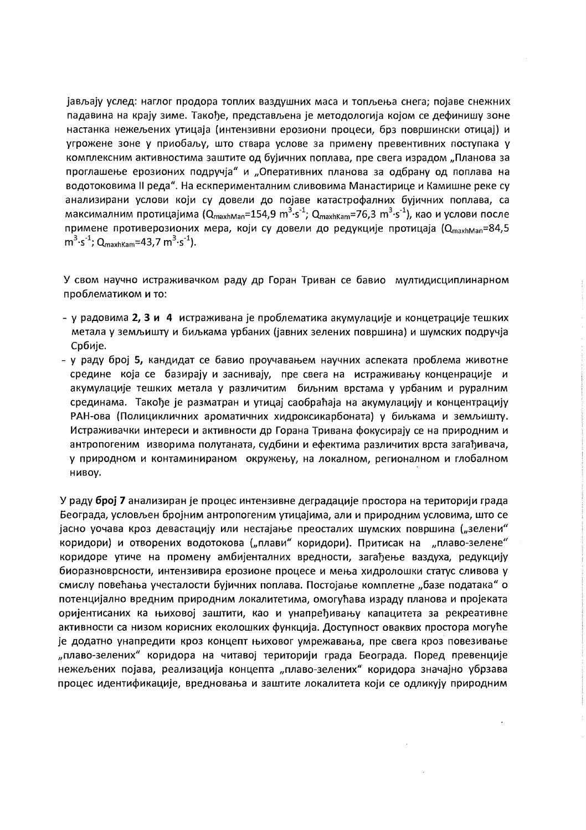јављају услед: наглог продора топлих ваздушних маса и топљења снега; појаве снежних падавина на крају зиме. Такође, представљена је методологија којом се дефинишу зоне настанка нежељених утицаја (интензивни ерозиони процеси, брз површински отицај) и угрожене зоне у приобаљу, што ствара услове за примену превентивних поступака у комплексним активностима заштите од бујичних поплава, пре свега израдом "Планова за проглашење ерозионих подручја" и "Оперативних планова за одбрану од поплава на водотоковима II реда". На ескперименталним сливовима Манастирице и Камишне реке су анализирани услови који су довели до појаве катастрофалних бујичних поплава, са максималним протицајима (Q<sub>maxhMan</sub>=154,9 m<sup>3</sup>·s<sup>-1</sup>; Q<sub>maxhKam</sub>=76,3 m<sup>3</sup>·s<sup>-1</sup>), као и услови после примене противерозионих мера, који су довели до редукције протицаја (Q<sub>maxhMan</sub>=84,5  $m^3 \cdot s^{-1}$ ; Q<sub>maxhKam</sub>=43,7 m<sup>3</sup> $\cdot s^{-1}$ ).

У свом научно истраживачком раду др Горан Триван се бавио мултидисциплинарном проблематиком и то:

- у радовима 2, 3 и 4 истраживана је проблематика акумулације и концетрације тешких метала у земљишту и биљкама урбаних (јавних зелених површина) и шумских подручја Србије.
- у раду број 5, кандидат се бавио проучавањем научних аспеката проблема животне средине која се базирају и заснивају, пре свега на истраживању конценрације и акумулације тешких метала у различитим биљним врстама у урбаним и руралним срединама. Такође је разматран и утицај саобраћаја на акумулацију и концентрацију РАН-ова (Полицикличних ароматичних хидроксикарбоната) у биљкама и земљишту. Истраживачки интереси и активности др Горана Тривана фокусирају се на природним и антропогеним изворима полутаната, судбини и ефектима различитих врста загађивача, у природном и контаминираном окружењу, на локалном, регионалном и глобалном нивоу.

У раду број 7 анализиран је процес интензивне деградације простора на територији града Београда, условљен бројним антропогеним утицајима, али и природним условима, што се јасно уочава кроз девастацију или нестајање преосталих шумских површина ("зелени" коридори) и отворених водотокова ("плави" коридори). Притисак на "плаво-зелене" коридоре утиче на промену амбијенталних вредности, загађење ваздуха, редукцију биоразноврсности, интензивира ерозионе процесе и мења хидролошки статус сливова у смислу повећања учесталости бујичних поплава. Постојање комплетне "базе података" о потенцијално вредним природним локалитетима, омогућава израду планова и пројеката оријентисаних ка њиховој заштити, као и унапређивању капацитета за рекреативне активности са низом корисних еколошких функција. Доступност оваквих простора могуће је додатно унапредити кроз концепт њиховог умрежавања, пре свега кроз повезивање "плаво-зелених" коридора на читавој територији града Београда. Поред превенције нежељених појава, реализација концепта "плаво-зелених" коридора значајно убрзава процес идентификације, вредновања и заштите локалитета који се одликују природним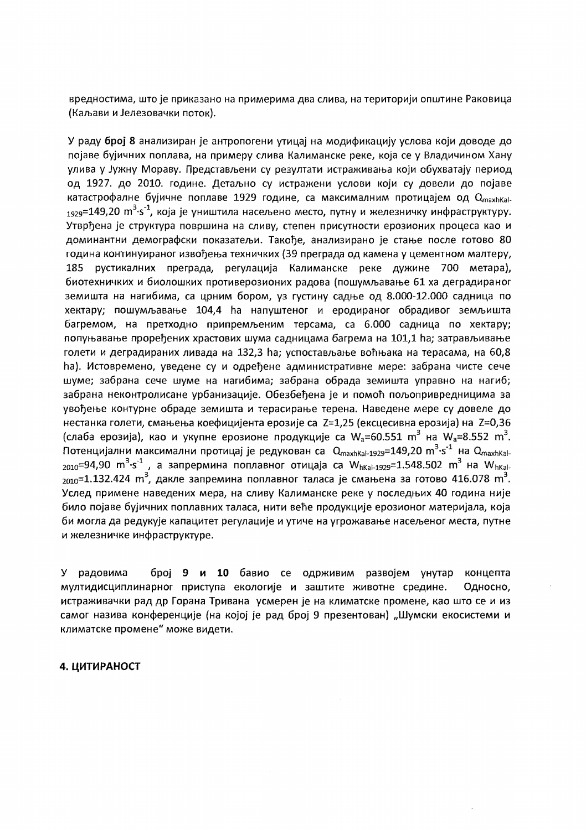вредностима, што је приказано на примерима два слива, на територији општине Раковица (Каљави и Јелезовачки поток).

У раду број 8 анализиран је антропогени утицај на модификацију услова који доводе до појаве бујичних поплава, на примеру слива Калиманске реке, која се у Владичином Хану улива у Јужну Мораву. Представљени су резултати истраживања који обухватају период од 1927. до 2010. године. Детаљно су истражени услови који су довели до појаве катастрофалне бујичне поплаве 1929 године, са максималним протицајем од QmaxhKal- $_{1929}$ =149,20 m<sup>3</sup>·s<sup>-1</sup>, која је уништила насељено место, путну и железничку инфраструктуру. Утврђена је структура површина на сливу, степен присутности ерозионих процеса као и доминантни демографски показатељи. Такође, анализирано је стање после готово 80 година континуираног извођења техничких (39 преграда од камена у цементном малтеру, 185 рустикалних преграда, регулација Калиманске реке дужине 700 метара), биотехничких и биолошких противерозионих радова (пошумљавање 61 ха деградираног земишта на нагибима, са црним бором, уз густину садње од 8.000-12.000 садница по хектару; пошумљавање 104,4 ha напуштеног и еродираног обрадивог земљишта багремом, на претходно припремљеним терсама, са 6.000 садница по хектару; попуњавање проређених храстових шума садницама багрема на 101,1 ha; затрављивање голети и деградираних ливада на 132,3 ha; успостављање воћњака на терасама, на 60,8 ha). Истовремено, уведене су и одређене административне мере: забрана чисте сече шуме; забрана сече шуме на нагибима; забрана обрада земишта управно на нагиб; забрана неконтролисане урбанизације. Обезбеђена је и помоћ пољопривредницима за увођење контурне обраде земишта и терасирање терена. Наведене мере су довеле до нестанка голети, смањења коефицијента ерозије са Z=1,25 (ексцесивна ерозија) на Z=0,36 (слаба ерозија), као и укупне ерозионе продукције са  $W_a = 60.551$  m<sup>3</sup> на  $W_a = 8.552$  m<sup>3</sup>. Потенцијални максимални протицај је редукован са Q<sub>maxhKal-1929</sub>=149,20 m<sup>3</sup>·s<sup>-1</sup> на Q<sub>maxhKal-</sub> <sub>2010</sub>=94,90 m<sup>3</sup>·s<sup>-1</sup>, а запрермина поплавног отицаја са W<sub>hKal-1929</sub>=1.548.502 m<sup>3</sup> на W<sub>hKal-</sub> <sub>2010</sub>=1.132.424 m<sup>3</sup>, дакле запремина поплавног таласа је смањена за готово 416.078 m<sup>3</sup>. Услед примене наведених мера, на сливу Калиманске реке у последњих 40 година није било појаве бујичних поплавних таласа, нити веће продукције ерозионог материјала, која би могла да редукује капацитет регулације и утиче на угрожавање насељеног места, путне и железничке инфраструктуре.

У радовима број 9 и 10 бавио се одрживим развојем унутар концепта мултидисциплинарног приступа екологије и заштите животне средине. Односно, истраживачки рад др Горана Тривана усмерен је на климатске промене, као што се и из самог назива конференције (на којој је рад број 9 презентован) "Шумски екосистеми и климатске промене" може видети.

#### 4. ЦИТИРАНОСТ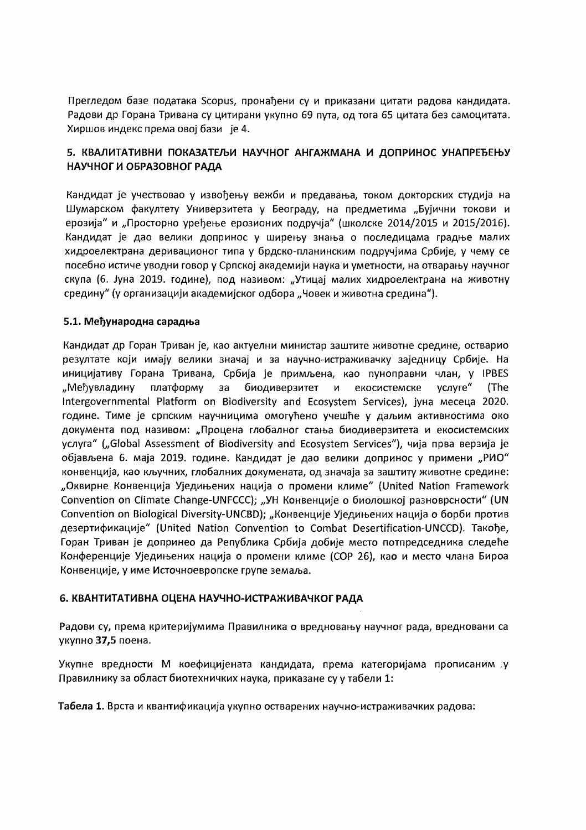Прегледом базе података Scopus, пронађени су и приказани цитати радова кандидата. Радови др Горана Тривана су цитирани укупно 69 пута, од тога 65 цитата без самоцитата. Хиршов индекс према овој бази је 4.

## 5. КВАЛИТАТИВНИ ПОКАЗАТЕЉИ НАУЧНОГ АНГАЖМАНА И ДОПРИНОС УНАПРЕЂЕЊУ НАУЧНОГ И ОБРАЗОВНОГ РАДА

Кандидат је учествовао у извођењу вежби и предавања, током докторских студија на Шумарском факултету Универзитета у Београду, на предметима "Бујични токови и ерозија" и "Просторно уређење ерозионих подручја" (школске 2014/2015 и 2015/2016). Кандидат је дао велики допринос у ширењу знања о последицама градње малих хидроелектрана деривационог типа у брдско-планинским подручјима Србије, у чему се посебно истиче уводни говор у Српској академији наука и уметности, на отварању научног скупа (6. Јуна 2019. године), под називом: "Утицај малих хидроелектрана на животну средину" (у организацији академијског одбора "Човек и животна средина").

## 5.1. Међународна сарадња

Кандидат др Горан Триван је, као актуелни министар заштите животне средине, остварио резултате који имају велики значај и за научно-истраживачку заједницу Србије. На иницијативу Горана Тривана, Србија је примљена, као пуноправни члан, у IPBES "Међувладину платформу за биодиверзитет  $M$ екосистемске услуге" (The Intergovernmental Platform on Biodiversity and Ecosystem Services), јуна месеца 2020. године. Тиме је српским научницима омогућено учешће у даљим активностима око документа под називом: "Процена глобалног стања биодиверзитета и екосистемских услуга" ("Global Assessment of Biodiversity and Ecosystem Services"), чија прва верзија је објављена 6. маја 2019. године. Кандидат је дао велики допринос у примени "РИО" конвенција, као кључних, глобалних докумената, од значаја за заштиту животне средине: "Оквирне Конвенција Уједињених нација о промени климе" (United Nation Framework Convention on Climate Change-UNFCCC); "УН Конвенције о биолошкој разноврсности" (UN Convention on Biological Diversity-UNCBD); "Конвенције Уједињених нација о борби против дезертификације" (United Nation Convention to Combat Desertification-UNCCD). Такође, Горан Триван је допринео да Република Србија добије место потпредседника следеће Конференције Уједињених нација о промени климе (СОР 26), као и место члана Бироа Конвенције, у име Источноевропске групе земаља.

## 6. КВАНТИТАТИВНА ОЦЕНА НАУЧНО-ИСТРАЖИВАЧКОГ РАДА

Радови су, према критеријумима Правилника о вредновању научног рада, вредновани са укупно 37,5 поена.

Укупне вредности М коефицијената кандидата, према категоријама прописаним у Правилнику за област биотехничких наука, приказане су у табели 1:

Табела 1. Врста и квантификација укупно остварених научно-истраживачких радова: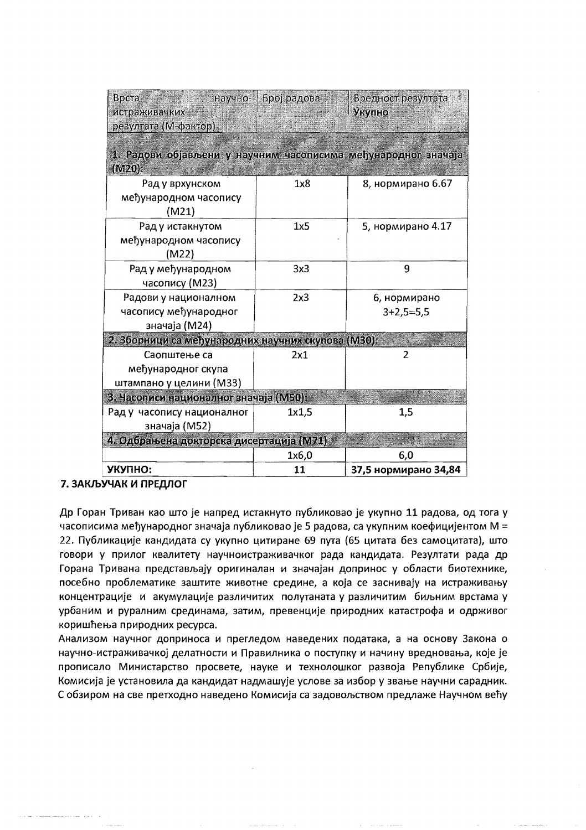| Врста<br>научно-<br>истраживачких<br>резултата (М-фактор)                  | Број радова | Вредност резултата<br>Укупно |  |  |  |
|----------------------------------------------------------------------------|-------------|------------------------------|--|--|--|
| 1. Радови објављени у научним часописима међународног значаја<br>$(M20)$ : |             |                              |  |  |  |
| Рад у врхунском<br>међународном часопису<br>(M21)                          | 1x8         | 8, нормирано 6.67            |  |  |  |
| Рад у истакнутом<br>међународном часопису<br>(M22)                         | 1x5         | 5, нормирано 4.17            |  |  |  |
| Рад у међународном<br>часопису (М23)                                       | 3x3         | 9                            |  |  |  |
| Радови у националном<br>часопису међународног<br>значаја (М24)             | 2x3         | 6, нормирано<br>$3+2,5=5,5$  |  |  |  |
| 2. Зборници са међународних научних скупова (МЗ0):                         |             |                              |  |  |  |
| Саопштење са<br>међународног скупа<br>штампано у целини (МЗЗ)              | 2x1         | $\overline{2}$               |  |  |  |
| 3. Часописи националног значаја (M50):                                     |             |                              |  |  |  |
| Рад у часопису националног<br>значаја (М52)                                | 1x1,5       | 1,5                          |  |  |  |
| 4. Одбрањена докторска дисертација (М71)                                   |             |                              |  |  |  |
|                                                                            | 1x6,0       | 6,0                          |  |  |  |
| УКУПНО:                                                                    | 11          | 37,5 нормирано 34,84         |  |  |  |

## 7. ЗАКЉУЧАК И ПРЕДЛОГ

Др Горан Триван као што је напред истакнуто публиковао је укупно 11 радова, од тога у часописима међународног значаја публиковао је 5 радова, са укупним коефицијентом M = 22. Публикације кандидата су укупно цитиране 69 пута (65 цитата без самоцитата), што говори у прилог квалитету научноистраживачког рада кандидата. Резултати рада др Горана Тривана представљају оригиналан и значајан допринос у области биотехнике, посебно проблематике заштите животне средине, а која се заснивају на истраживању концентрације и акумулације различитих полутаната у различитим биљним врстама у урбаним и руралним срединама, затим, превенције природних катастрофа и одрживог коришћења природних ресурса.

Анализом научног доприноса и прегледом наведених података, а на основу Закона о научно-истраживачкој делатности и Правилника о поступку и начину вредновања, које је прописало Министарство просвете, науке и технолошког развоја Републике Србије, Комисија је установила да кандидат надмашује услове за избор у звање научни сарадник. С обзиром на све претходно наведено Комисија са задовољством предлаже Научном већу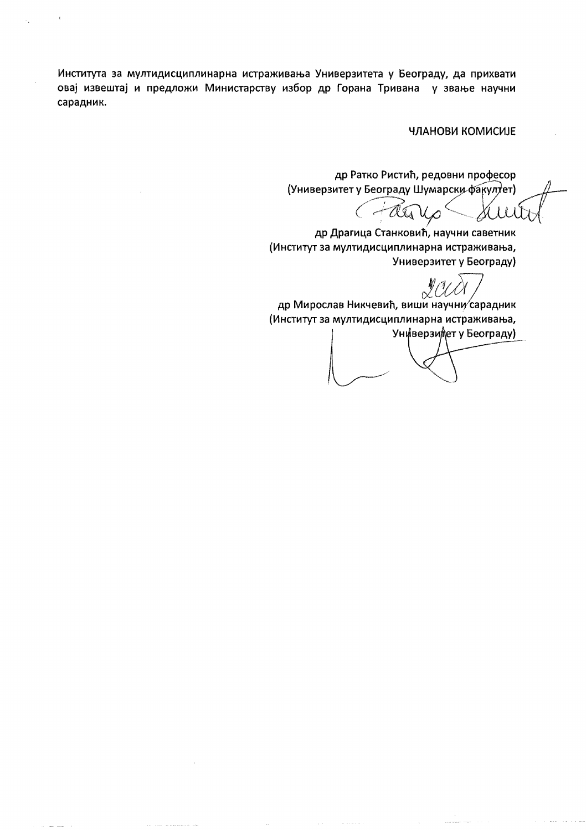Института за мултидисциплинарна истраживања Универзитета у Београду, да прихвати овај извештај и предложи Министарству избор др Горана Тривана у звање научни сарадник.

#### ЧЛАНОВИ КОМИСИЈЕ

др Ратко Ристић, редовни професор (Универзитет у Београду Шумарски факултет)

Ju  $C - \alpha G$  $\mathcal{U}_{\rho}$ 

др Драгица Станковић, научни саветник (Институт за мултидисциплинарна истраживања, Универзитет у Београду)

др Мирослав Никчевић, виши научни сарадник (Институт за мултидисциплинарна истраживања,

Универзидет у Београду)